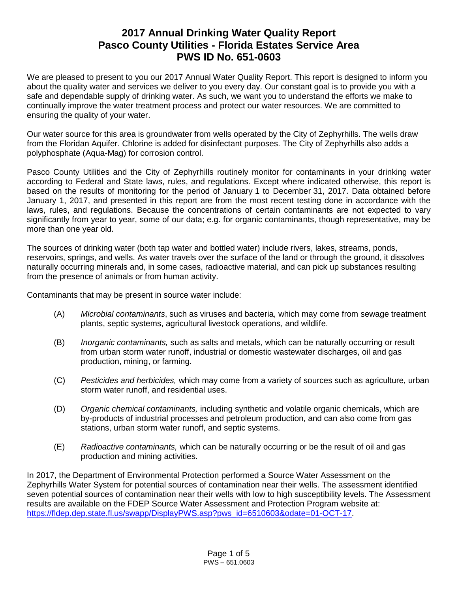# **2017 Annual Drinking Water Quality Report Pasco County Utilities - Florida Estates Service Area PWS ID No. 651-0603**

We are pleased to present to you our 2017 Annual Water Quality Report. This report is designed to inform you about the quality water and services we deliver to you every day. Our constant goal is to provide you with a safe and dependable supply of drinking water. As such, we want you to understand the efforts we make to continually improve the water treatment process and protect our water resources. We are committed to ensuring the quality of your water.

Our water source for this area is groundwater from wells operated by the City of Zephyrhills. The wells draw from the Floridan Aquifer. Chlorine is added for disinfectant purposes. The City of Zephyrhills also adds a polyphosphate (Aqua-Mag) for corrosion control.

Pasco County Utilities and the City of Zephyrhills routinely monitor for contaminants in your drinking water according to Federal and State laws, rules, and regulations. Except where indicated otherwise, this report is based on the results of monitoring for the period of January 1 to December 31, 2017. Data obtained before January 1, 2017, and presented in this report are from the most recent testing done in accordance with the laws, rules, and regulations. Because the concentrations of certain contaminants are not expected to vary significantly from year to year, some of our data; e.g. for organic contaminants, though representative, may be more than one year old.

The sources of drinking water (both tap water and bottled water) include rivers, lakes, streams, ponds, reservoirs, springs, and wells. As water travels over the surface of the land or through the ground, it dissolves naturally occurring minerals and, in some cases, radioactive material, and can pick up substances resulting from the presence of animals or from human activity.

Contaminants that may be present in source water include:

- (A) *Microbial contaminants*, such as viruses and bacteria, which may come from sewage treatment plants, septic systems, agricultural livestock operations, and wildlife.
- (B) *Inorganic contaminants,* such as salts and metals, which can be naturally occurring or result from urban storm water runoff, industrial or domestic wastewater discharges, oil and gas production, mining, or farming.
- (C) *Pesticides and herbicides,* which may come from a variety of sources such as agriculture, urban storm water runoff, and residential uses.
- (D) *Organic chemical contaminants,* including synthetic and volatile organic chemicals, which are by-products of industrial processes and petroleum production, and can also come from gas stations, urban storm water runoff, and septic systems.
- (E) *Radioactive contaminants,* which can be naturally occurring or be the result of oil and gas production and mining activities.

In 2017, the Department of Environmental Protection performed a Source Water Assessment on the Zephyrhills Water System for potential sources of contamination near their wells. The assessment identified seven potential sources of contamination near their wells with low to high susceptibility levels. The Assessment results are available on the FDEP Source Water Assessment and Protection Program website at: [https://fldep.dep.state.fl.us/swapp/DisplayPWS.asp?pws\\_id=6510603&odate=01-OCT-17.](https://fldep.dep.state.fl.us/swapp/DisplayPWS.asp?pws_id=6510603&odate=01-OCT-17)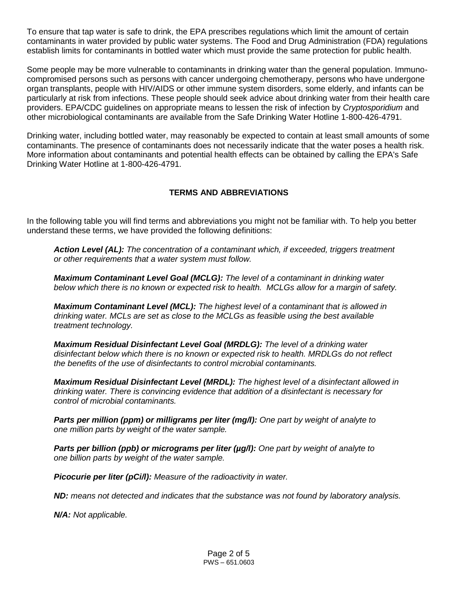To ensure that tap water is safe to drink, the EPA prescribes regulations which limit the amount of certain contaminants in water provided by public water systems. The Food and Drug Administration (FDA) regulations establish limits for contaminants in bottled water which must provide the same protection for public health.

Some people may be more vulnerable to contaminants in drinking water than the general population. Immunocompromised persons such as persons with cancer undergoing chemotherapy, persons who have undergone organ transplants, people with HIV/AIDS or other immune system disorders, some elderly, and infants can be particularly at risk from infections. These people should seek advice about drinking water from their health care providers. EPA/CDC guidelines on appropriate means to lessen the risk of infection by *Cryptosporidium* and other microbiological contaminants are available from the Safe Drinking Water Hotline 1-800-426-4791.

Drinking water, including bottled water, may reasonably be expected to contain at least small amounts of some contaminants. The presence of contaminants does not necessarily indicate that the water poses a health risk. More information about contaminants and potential health effects can be obtained by calling the EPA's Safe Drinking Water Hotline at 1-800-426-4791.

### **TERMS AND ABBREVIATIONS**

In the following table you will find terms and abbreviations you might not be familiar with. To help you better understand these terms, we have provided the following definitions:

*Action Level (AL): The concentration of a contaminant which, if exceeded, triggers treatment or other requirements that a water system must follow.*

*Maximum Contaminant Level Goal (MCLG): The level of a contaminant in drinking water below which there is no known or expected risk to health. MCLGs allow for a margin of safety.*

*Maximum Contaminant Level (MCL): The highest level of a contaminant that is allowed in drinking water. MCLs are set as close to the MCLGs as feasible using the best available treatment technology.*

*Maximum Residual Disinfectant Level Goal (MRDLG): The level of a drinking water disinfectant below which there is no known or expected risk to health. MRDLGs do not reflect the benefits of the use of disinfectants to control microbial contaminants.*

*Maximum Residual Disinfectant Level (MRDL): The highest level of a disinfectant allowed in drinking water. There is convincing evidence that addition of a disinfectant is necessary for control of microbial contaminants.*

*Parts per million (ppm) or milligrams per liter (mg/l): One part by weight of analyte to one million parts by weight of the water sample.*

*Parts per billion (ppb) or micrograms per liter (µg/l): One part by weight of analyte to one billion parts by weight of the water sample.*

*Picocurie per liter (pCi/l): Measure of the radioactivity in water.*

*ND: means not detected and indicates that the substance was not found by laboratory analysis.*

*N/A: Not applicable.*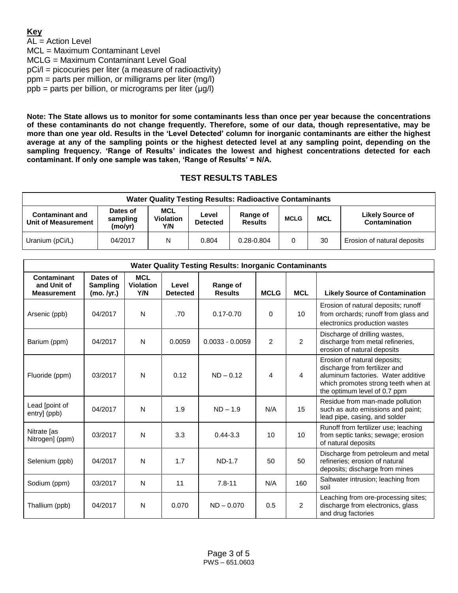## **Key**

AL = Action Level MCL = Maximum Contaminant Level MCLG = Maximum Contaminant Level Goal pCi/l = picocuries per liter (a measure of radioactivity) ppm = parts per million, or milligrams per liter (mg/l) ppb = parts per billion, or micrograms per liter (μg/l)

**Note: The State allows us to monitor for some contaminants less than once per year because the concentrations of these contaminants do not change frequently. Therefore, some of our data, though representative, may be more than one year old. Results in the 'Level Detected' column for inorganic contaminants are either the highest average at any of the sampling points or the highest detected level at any sampling point, depending on the sampling frequency. 'Range of Results' indicates the lowest and highest concentrations detected for each contaminant. If only one sample was taken, 'Range of Results' = N/A.**

## **TEST RESULTS TABLES**

| <b>Water Quality Testing Results: Radioactive Contaminants</b> |                                                                                                                 |   |          |             |            |                                          |                             |  |  |
|----------------------------------------------------------------|-----------------------------------------------------------------------------------------------------------------|---|----------|-------------|------------|------------------------------------------|-----------------------------|--|--|
| <b>Contaminant and</b><br>Unit of Measurement                  | MCL<br>Dates of<br>Level<br><b>Violation</b><br>sampling<br><b>Results</b><br><b>Detected</b><br>(mo/yr)<br>Y/N |   | Range of | <b>MCLG</b> | <b>MCL</b> | <b>Likely Source of</b><br>Contamination |                             |  |  |
| Uranium (pCi/L)                                                | 04/2017                                                                                                         | N | 0.804    | 0.28-0.804  |            | 30                                       | Erosion of natural deposits |  |  |

| <b>Water Quality Testing Results: Inorganic Contaminants</b> |                                           |                                |                          |                            |                |                |                                                                                                                                                                            |  |  |
|--------------------------------------------------------------|-------------------------------------------|--------------------------------|--------------------------|----------------------------|----------------|----------------|----------------------------------------------------------------------------------------------------------------------------------------------------------------------------|--|--|
| Contaminant<br>and Unit of<br><b>Measurement</b>             | Dates of<br><b>Sampling</b><br>(mo. /yr.) | <b>MCL</b><br>Violation<br>Y/N | Level<br><b>Detected</b> | Range of<br><b>Results</b> | <b>MCLG</b>    | <b>MCL</b>     | <b>Likely Source of Contamination</b>                                                                                                                                      |  |  |
| Arsenic (ppb)                                                | 04/2017                                   | $\mathsf{N}$                   | .70                      | $0.17 - 0.70$              | $\Omega$       | 10             | Erosion of natural deposits; runoff<br>from orchards; runoff from glass and<br>electronics production wastes                                                               |  |  |
| Barium (ppm)                                                 | 04/2017                                   | N                              | 0.0059                   | $0.0033 - 0.0059$          | $\overline{2}$ | $\overline{2}$ | Discharge of drilling wastes,<br>discharge from metal refineries,<br>erosion of natural deposits                                                                           |  |  |
| Fluoride (ppm)                                               | 03/2017                                   | N                              | 0.12                     | $ND - 0.12$                | 4              | 4              | Erosion of natural deposits;<br>discharge from fertilizer and<br>aluminum factories. Water additive<br>which promotes strong teeth when at<br>the optimum level of 0.7 ppm |  |  |
| Lead [point of<br>entry] (ppb)                               | 04/2017                                   | N                              | 1.9                      | $ND - 1.9$                 | N/A            | 15             | Residue from man-made pollution<br>such as auto emissions and paint;<br>lead pipe, casing, and solder                                                                      |  |  |
| Nitrate [as<br>Nitrogen] (ppm)                               | 03/2017                                   | N                              | 3.3                      | $0.44 - 3.3$               | 10             | 10             | Runoff from fertilizer use; leaching<br>from septic tanks; sewage; erosion<br>of natural deposits                                                                          |  |  |
| Selenium (ppb)                                               | 04/2017                                   | N                              | 1.7                      | <b>ND-1.7</b>              | 50             | 50             | Discharge from petroleum and metal<br>refineries; erosion of natural<br>deposits; discharge from mines                                                                     |  |  |
| Sodium (ppm)                                                 | 03/2017                                   | N                              | 11                       | $7.8 - 11$                 | N/A            | 160            | Saltwater intrusion; leaching from<br>soil                                                                                                                                 |  |  |
| Thallium (ppb)                                               | 04/2017                                   | N                              | 0.070                    | $ND - 0.070$               | 0.5            | 2              | Leaching from ore-processing sites;<br>discharge from electronics, glass<br>and drug factories                                                                             |  |  |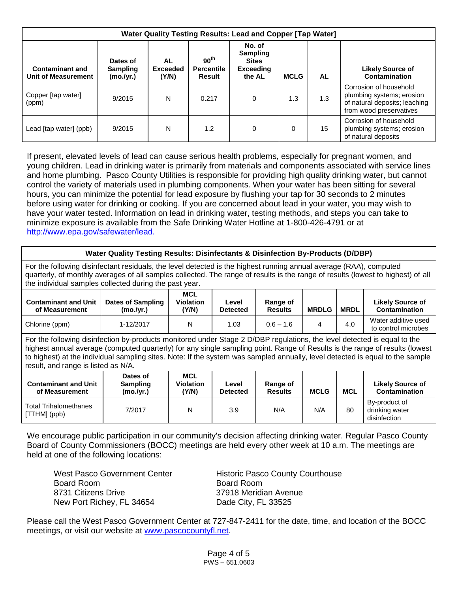| Water Quality Testing Results: Lead and Copper [Tap Water] |                                          |                                |                                                 |                                                                         |             |           |                                                                                                                 |  |
|------------------------------------------------------------|------------------------------------------|--------------------------------|-------------------------------------------------|-------------------------------------------------------------------------|-------------|-----------|-----------------------------------------------------------------------------------------------------------------|--|
| <b>Contaminant and</b><br>Unit of Measurement              | Dates of<br><b>Sampling</b><br>(mo./yr.) | AL<br><b>Exceeded</b><br>(Y/N) | 90 <sup>th</sup><br><b>Percentile</b><br>Result | No. of<br><b>Sampling</b><br><b>Sites</b><br><b>Exceeding</b><br>the AL | <b>MCLG</b> | <b>AL</b> | <b>Likely Source of</b><br>Contamination                                                                        |  |
| Copper [tap water]<br>(ppm)                                | 9/2015                                   | N                              | 0.217                                           | 0                                                                       | 1.3         | 1.3       | Corrosion of household<br>plumbing systems; erosion<br>of natural deposits; leaching<br>from wood preservatives |  |
| Lead [tap water] (ppb)                                     | 9/2015                                   | N                              | 1.2                                             | 0                                                                       | 0           | 15        | Corrosion of household<br>plumbing systems; erosion<br>of natural deposits                                      |  |

If present, elevated levels of lead can cause serious health problems, especially for pregnant women, and young children. Lead in drinking water is primarily from materials and components associated with service lines and home plumbing. Pasco County Utilities is responsible for providing high quality drinking water, but cannot control the variety of materials used in plumbing components. When your water has been sitting for several hours, you can minimize the potential for lead exposure by flushing your tap for 30 seconds to 2 minutes before using water for drinking or cooking. If you are concerned about lead in your water, you may wish to have your water tested. Information on lead in drinking water, testing methods, and steps you can take to minimize exposure is available from the Safe Drinking Water Hotline at 1-800-426-4791 or at http://www.epa.gov/safewater/lead.

| Water Quality Testing Results: Disinfectants & Disinfection By-Products (D/DBP)                                                                                                                                                                                                                                                                                                                                                 |                                       |                                         |                          |                            |              |             |                                                 |  |  |
|---------------------------------------------------------------------------------------------------------------------------------------------------------------------------------------------------------------------------------------------------------------------------------------------------------------------------------------------------------------------------------------------------------------------------------|---------------------------------------|-----------------------------------------|--------------------------|----------------------------|--------------|-------------|-------------------------------------------------|--|--|
| For the following disinfectant residuals, the level detected is the highest running annual average (RAA), computed<br>quarterly, of monthly averages of all samples collected. The range of results is the range of results (lowest to highest) of all<br>the individual samples collected during the past year.                                                                                                                |                                       |                                         |                          |                            |              |             |                                                 |  |  |
| <b>Contaminant and Unit</b><br>of Measurement                                                                                                                                                                                                                                                                                                                                                                                   | <b>Dates of Sampling</b><br>(mo./yr.) | <b>MCL</b><br><b>Violation</b><br>(Y/N) | Level<br><b>Detected</b> | Range of<br><b>Results</b> | <b>MRDLG</b> | <b>MRDL</b> | <b>Likely Source of</b><br><b>Contamination</b> |  |  |
| Chlorine (ppm)                                                                                                                                                                                                                                                                                                                                                                                                                  | 1-12/2017                             | N                                       | 1.03                     | $0.6 - 1.6$                | 4            | 4.0         | Water additive used<br>to control microbes      |  |  |
| For the following disinfection by-products monitored under Stage 2 D/DBP regulations, the level detected is equal to the<br>highest annual average (computed quarterly) for any single sampling point. Range of Results is the range of results (lowest<br>to highest) at the individual sampling sites. Note: If the system was sampled annually, level detected is equal to the sample<br>result, and range is listed as N/A. |                                       |                                         |                          |                            |              |             |                                                 |  |  |
| <b>Contaminant and Unit</b><br>of Measurement                                                                                                                                                                                                                                                                                                                                                                                   | Dates of<br>Sampling<br>(mo./yr.)     | <b>MCL</b><br><b>Violation</b><br>(Y/N) | Level<br><b>Detected</b> | Range of<br><b>Results</b> | <b>MCLG</b>  | <b>MCL</b>  | <b>Likely Source of</b><br><b>Contamination</b> |  |  |
| Total Trihalomethanes<br>[TTHM] (ppb)                                                                                                                                                                                                                                                                                                                                                                                           | 7/2017                                | N                                       | 3.9                      | N/A                        | N/A          | 80          | By-product of<br>drinking water<br>disinfection |  |  |

We encourage public participation in our community's decision affecting drinking water. Regular Pasco County Board of County Commissioners (BOCC) meetings are held every other week at 10 a.m. The meetings are held at one of the following locations:

West Pasco Government Center Historic Pasco County Courthouse Board Room Board Room 8731 Citizens Drive 37918 Meridian Avenue New Port Richey, FL 34654 Dade City, FL 33525

Please call the West Pasco Government Center at 727-847-2411 for the date, time, and location of the BOCC meetings, or visit our website at [www.pascocountyfl.net.](http://www.pascocountyfl.net/)